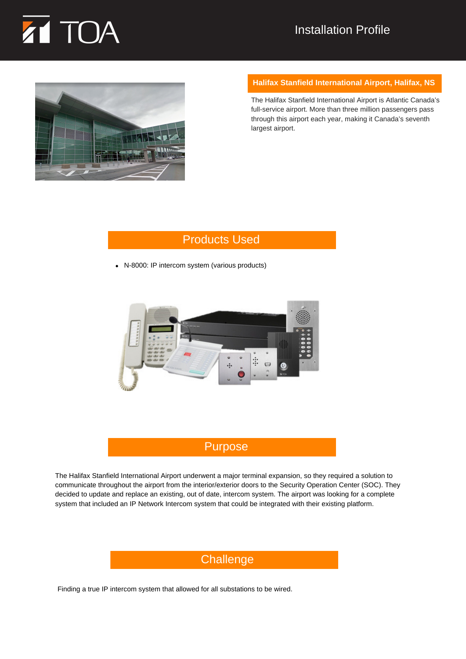



#### **Halifax Stanfield International Airport, Halifax, NS**

The Halifax Stanfield International Airport is Atlantic Canada's full-service airport. More than three million passengers pass through this airport each year, making it Canada's seventh largest airport.

# Products Used

N-8000: IP intercom system (various products)



# Purpose

The Halifax Stanfield International Airport underwent a major terminal expansion, so they required a solution to communicate throughout the airport from the interior/exterior doors to the Security Operation Center (SOC). They decided to update and replace an existing, out of date, intercom system. The airport was looking for a complete system that included an IP Network Intercom system that could be integrated with their existing platform.

# Challenge

Finding a true IP intercom system that allowed for all substations to be wired.